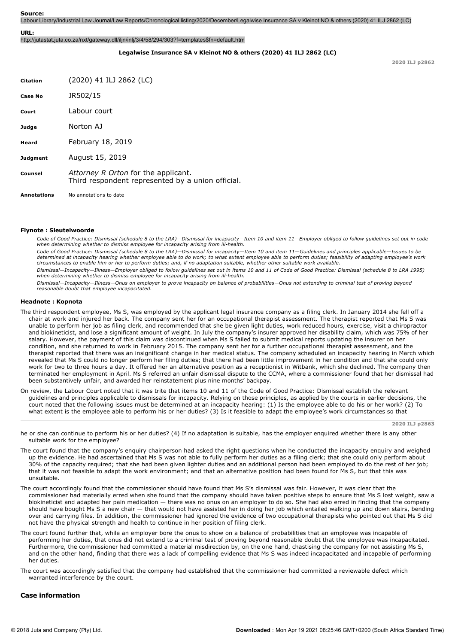Labour Library/Industrial Law Journal/Law Reports/Chronological listing/2020/December/Legalwise Insurance SA v Kleinot NO & others (2020) 41 ILJ 2862 (LC)

#### **URL:**

http://jutastat.juta.co.za/nxt/gateway.dll/iljn/inlj/3/4/58/294/303?f=templates\$fn=default.htm

# **Legalwise Insurance SA v Kleinot NO & others (2020) 41 ILJ 2862 (LC)**

**2020 ILJ p2862**

| <b>Citation</b>    | (2020) 41 ILJ 2862 (LC)                                                                  |
|--------------------|------------------------------------------------------------------------------------------|
| Case No            | JR502/15                                                                                 |
| Court              | Labour court                                                                             |
| Judge              | Norton A1                                                                                |
| Heard              | February 18, 2019                                                                        |
| <b>Judgment</b>    | August 15, 2019                                                                          |
| Counsel            | Attorney R Orton for the applicant.<br>Third respondent represented by a union official. |
| <b>Annotations</b> | No annotations to date                                                                   |

#### **Flynote : Sleutelwoorde**

*Code of Good Practice: Dismissal (schedule 8 to the LRA)—Dismissal for incapacity—Item 10 and item 11—Employer obliged to follow guidelines set out in code* when determining whether to dismiss employee for incapacity arising from ill-health.

*Code of Good Practice: Dismissal (schedule 8 to the LRA)—Dismissal for incapacity—Item 10 and item 11—Guidelines and principles applicable—Issues to be determined at incapacity hearing whether employee able to do work; to what extent employee able to perform duties; feasibility of adapting employee's work circumstances to enable him or her to perform duties; and, if no adaptation suitable, whether other suitable work available.*

*Dismissal—Incapacity—Illness—Employer obliged to follow guidelines set out in items 10 and 11 of Code of Good Practice: Dismissal (schedule 8 to LRA 1995)* when determining whether to dismiss employee for incapacity arising from ill-health.

*Dismissal—Incapacity—Illness—Onus on employer to prove incapacity on balance of probabilities—Onus not extending to criminal test of proving beyond reasonable doubt that employee incapacitated.*

### **Headnote : Kopnota**

- The third respondent employee, Ms S, was employed by the applicant legal insurance company as a filing clerk. In January 2014 she fell off a chair at work and injured her back. The company sent her for an occupational therapist assessment. The therapist reported that Ms S was unable to perform her job as filing clerk, and recommended that she be given light duties, work reduced hours, exercise, visit a chiropractor and biokineticist, and lose a significant amount of weight. In July the company's insurer approved her disability claim, which was 75% of her salary. However, the payment of this claim was discontinued when Ms S failed to submit medical reports updating the insurer on her condition, and she returned to work in February 2015. The company sent her for a further occupational therapist assessment, and the therapist reported that there was an insignificant change in her medical status. The company scheduled an incapacity hearing in March which revealed that Ms S could no longer perform her filing duties; that there had been little improvement in her condition and that she could only work for two to three hours a day. It offered her an alternative position as a receptionist in Witbank, which she declined. The company then terminated her employment in April. Ms S referred an unfair dismissal dispute to the CCMA, where a commissioner found that her dismissal had been substantively unfair, and awarded her reinstatement plus nine months' backpay.
- On review, the Labour Court noted that it was trite that items 10 and 11 of the Code of Good Practice: Dismissal establish the relevant guidelines and principles applicable to dismissals for incapacity. Relying on those principles, as applied by the courts in earlier decisions, the court noted that the following issues must be determined at an incapacity hearing: (1) Is the employee able to do his or her work? (2) To what extent is the employee able to perform his or her duties? (3) Is it feasible to adapt the employee's work circumstances so that

**2020 ILJ p2863**

he or she can continue to perform his or her duties? (4) If no adaptation is suitable, has the employer enquired whether there is any other suitable work for the employee?

- The court found that the company's enquiry chairperson had asked the right questions when he conducted the incapacity enquiry and weighed up the evidence. He had ascertained that Ms S was not able to fully perform her duties as a filing clerk; that she could only perform about 30% of the capacity required; that she had been given lighter duties and an additional person had been employed to do the rest of her job; that it was not feasible to adapt the work environment; and that an alternative position had been found for Ms S, but that this was unsuitable.
- The court accordingly found that the commissioner should have found that Ms S's dismissal was fair. However, it was clear that the commissioner had materially erred when she found that the company should have taken positive steps to ensure that Ms S lost weight, saw a biokineticist and adapted her pain medication — there was no onus on an employer to do so. She had also erred in finding that the company should have bought Ms S a new chair — that would not have assisted her in doing her job which entailed walking up and down stairs, bending over and carrying files. In addition, the commissioner had ignored the evidence of two occupational therapists who pointed out that Ms S did not have the physical strength and health to continue in her position of filing clerk.
- The court found further that, while an employer bore the onus to show on a balance of probabilities that an employee was incapable of performing her duties, that onus did not extend to a criminal test of proving beyond reasonable doubt that the employee was incapacitated. Furthermore, the commissioner had committed a material misdirection by, on the one hand, chastising the company for not assisting Ms S, and on the other hand, finding that there was a lack of compelling evidence that Ms S was indeed incapacitated and incapable of performing her duties.
- The court was accordingly satisfied that the company had established that the commissioner had committed a reviewable defect which warranted interference by the court.

### **Case information**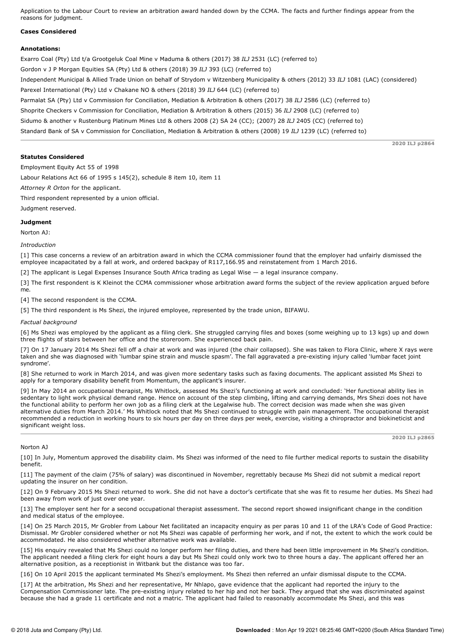Application to the Labour Court to review an arbitration award handed down by the CCMA. The facts and further findings appear from the reasons for judgment.

# **Cases Considered**

### **Annotations:**

Exarro Coal (Pty) Ltd t/a Grootgeluk Coal Mine v Maduma & others (2017) 38 *ILJ* 2531 (LC) (referred to) Gordon v J P Morgan Equities SA (Pty) Ltd & others (2018) 39 *ILJ* 393 (LC) (referred to) Independent Municipal & Allied Trade Union on behalf of Strydom v Witzenberg Municipality & others (2012) 33 *ILJ* 1081 (LAC) (considered) Parexel International (Pty) Ltd v Chakane NO & others (2018) 39 *ILJ* 644 (LC) (referred to) Parmalat SA (Pty) Ltd v Commission for Conciliation, Mediation & Arbitration & others (2017) 38 *ILJ* 2586 (LC) (referred to) Shoprite Checkers v Commission for Conciliation, Mediation & Arbitration & others (2015) 36 *ILJ* 2908 (LC) (referred to) Sidumo & another v Rustenburg Platinum Mines Ltd & others 2008 (2) SA 24 (CC); (2007) 28 *ILJ* 2405 (CC) (referred to) Standard Bank of SA v Commission for Conciliation, Mediation & Arbitration & others (2008) 19 *ILJ* 1239 (LC) (referred to)

**Statutes Considered**

**2020 ILJ p2864**

**2020 ILJ p2865**

Employment Equity Act 55 of 1998

Labour Relations Act 66 of 1995 s 145(2), schedule 8 item 10, item 11

*Attorney R Orton* for the applicant.

Third respondent represented by a union official.

Judgment reserved.

# **Judgment**

Norton AJ:

*Introduction*

[1] This case concerns a review of an arbitration award in which the CCMA commissioner found that the employer had unfairly dismissed the employee incapacitated by a fall at work, and ordered backpay of R117,166.95 and reinstatement from 1 March 2016.

[2] The applicant is Legal Expenses Insurance South Africa trading as Legal Wise — a legal insurance company.

[3] The first respondent is K Kleinot the CCMA commissioner whose arbitration award forms the subject of the review application argued before me.

[4] The second respondent is the CCMA.

[5] The third respondent is Ms Shezi, the injured employee, represented by the trade union, BIFAWU.

*Factual background*

[6] Ms Shezi was employed by the applicant as a filing clerk. She struggled carrying files and boxes (some weighing up to 13 kgs) up and down three flights of stairs between her office and the storeroom. She experienced back pain.

[7] On 17 January 2014 Ms Shezi fell off a chair at work and was injured (the chair collapsed). She was taken to Flora Clinic, where X rays were taken and she was diagnosed with 'lumbar spine strain and muscle spasm'. The fall aggravated a pre-existing injury called 'lumbar facet joint syndrome'.

[8] She returned to work in March 2014, and was given more sedentary tasks such as faxing documents. The applicant assisted Ms Shezi to apply for a temporary disability benefit from Momentum, the applicant's insurer.

[9] In May 2014 an occupational therapist, Ms Whitlock, assessed Ms Shezi's functioning at work and concluded: 'Her functional ability lies in sedentary to light work physical demand range. Hence on account of the step climbing, lifting and carrying demands, Mrs Shezi does not have the functional ability to perform her own job as a filing clerk at the Legalwise hub. The correct decision was made when she was given alternative duties from March 2014.' Ms Whitlock noted that Ms Shezi continued to struggle with pain management. The occupational therapist recommended a reduction in working hours to six hours per day on three days per week, exercise, visiting a chiropractor and biokineticist and significant weight loss.

### Norton AJ

[10] In July, Momentum approved the disability claim. Ms Shezi was informed of the need to file further medical reports to sustain the disability benefit.

[11] The payment of the claim (75% of salary) was discontinued in November, regrettably because Ms Shezi did not submit a medical report updating the insurer on her condition.

[12] On 9 February 2015 Ms Shezi returned to work. She did not have a doctor's certificate that she was fit to resume her duties. Ms Shezi had been away from work of just over one year.

[13] The employer sent her for a second occupational therapist assessment. The second report showed insignificant change in the condition and medical status of the employee.

[14] On 25 March 2015, Mr Grobler from Labour Net facilitated an incapacity enquiry as per paras 10 and 11 of the LRA's Code of Good Practice: Dismissal. Mr Grobler considered whether or not Ms Shezi was capable of performing her work, and if not, the extent to which the work could be accommodated. He also considered whether alternative work was available.

[15] His enquiry revealed that Ms Shezi could no longer perform her filing duties, and there had been little improvement in Ms Shezi's condition. The applicant needed a filing clerk for eight hours a day but Ms Shezi could only work two to three hours a day. The applicant offered her an alternative position, as a receptionist in Witbank but the distance was too far.

[16] On 10 April 2015 the applicant terminated Ms Shezi's employment. Ms Shezi then referred an unfair dismissal dispute to the CCMA.

[17] At the arbitration, Ms Shezi and her representative, Mr Nhlapo, gave evidence that the applicant had reported the injury to the Compensation Commissioner late. The pre-existing injury related to her hip and not her back. They argued that she was discriminated against because she had a grade 11 certificate and not a matric. The applicant had failed to reasonably accommodate Ms Shezi, and this was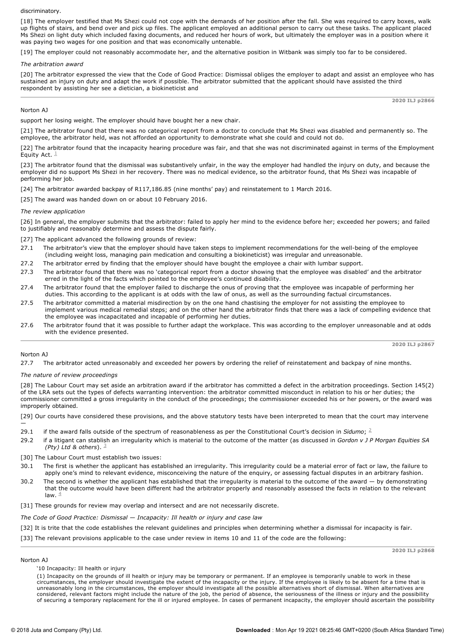### discriminatory.

[18] The employer testified that Ms Shezi could not cope with the demands of her position after the fall. She was required to carry boxes, walk up flights of stairs, and bend over and pick up files. The applicant employed an additional person to carry out these tasks. The applicant placed Ms Shezi on light duty which included faxing documents, and reduced her hours of work, but ultimately the employer was in a position where it was paying two wages for one position and that was economically untenable.

[19] The employer could not reasonably accommodate her, and the alternative position in Witbank was simply too far to be considered.

### *The arbitration award*

[20] The arbitrator expressed the view that the Code of Good Practice: Dismissal obliges the employer to adapt and assist an employee who has sustained an injury on duty and adapt the work if possible. The arbitrator submitted that the applicant should have assisted the third respondent by assisting her see a dietician, a biokineticist and

#### **2020 ILJ p2866**

# Norton AJ

support her losing weight. The employer should have bought her a new chair.

[21] The arbitrator found that there was no categorical report from a doctor to conclude that Ms Shezi was disabled and permanently so. The employee, the arbitrator held, was not afforded an opportunity to demonstrate what she could and could not do.

[22] The arbitrator found that the incapacity hearing procedure was fair, and that she was not discriminated against in terms of the Employment Equity Act.  $^{\perp}$ 

[23] The arbitrator found that the dismissal was substantively unfair, in the way the employer had handled the injury on duty, and because the employer did no support Ms Shezi in her recovery. There was no medical evidence, so the arbitrator found, that Ms Shezi was incapable of performing her job.

[24] The arbitrator awarded backpay of R117,186.85 (nine months' pay) and reinstatement to 1 March 2016.

[25] The award was handed down on or about 10 February 2016.

# *The review application*

[26] In general, the employer submits that the arbitrator: failed to apply her mind to the evidence before her; exceeded her powers; and failed to justifiably and reasonably determine and assess the dispute fairly.

[27] The applicant advanced the following grounds of review:

- 27.1 The arbitrator's view that the employer should have taken steps to implement recommendations for the well-being of the employee (including weight loss, managing pain medication and consulting a biokineticist) was irregular and unreasonable.
- 27.2 The arbitrator erred by finding that the employer should have bought the employee a chair with lumbar support.
- 27.3 The arbitrator found that there was no 'categorical report from a doctor showing that the employee was disabled' and the arbitrator erred in the light of the facts which pointed to the employee's continued disability.
- 27.4 The arbitrator found that the employer failed to discharge the onus of proving that the employee was incapable of performing her duties. This according to the applicant is at odds with the law of onus, as well as the surrounding factual circumstances.
- 27.5 The arbitrator committed a material misdirection by on the one hand chastising the employer for not assisting the employee to implement various medical remedial steps; and on the other hand the arbitrator finds that there was a lack of compelling evidence that the employee was incapacitated and incapable of performing her duties.
- 27.6 The arbitrator found that it was possible to further adapt the workplace. This was according to the employer unreasonable and at odds with the evidence presented.

**2020 ILJ p2867**

# Norton AJ

27.7 The arbitrator acted unreasonably and exceeded her powers by ordering the relief of reinstatement and backpay of nine months.

*The nature of review proceedings*

[28] The Labour Court may set aside an arbitration award if the arbitrator has committed a defect in the arbitration proceedings. Section 145(2) of the LRA sets out the types of defects warranting intervention: the arbitrator committed misconduct in relation to his or her duties; the commissioner committed a gross irregularity in the conduct of the proceedings; the commissioner exceeded his or her powers, or the award was improperly obtained.

[29] Our courts have considered these provisions, and the above statutory tests have been interpreted to mean that the court may intervene —

- 29.1 if the award falls outside of the spectrum of reasonableness as per the Constitutional Court's decision in Sidumo;  $2$
- 29.2 if a litigant can stablish an irregularity which is material to the outcome of the matter (as discussed in *Gordon v J P Morgan Equities SA (Pty) Ltd & others*). 3
- [30] The Labour Court must establish two issues:
- 30.1 The first is whether the applicant has established an irregularity. This irregularity could be a material error of fact or law, the failure to apply one's mind to relevant evidence, misconceiving the nature of the enquiry, or assessing factual disputes in an arbitrary fashion.
- 30.2 The second is whether the applicant has established that the irregularity is material to the outcome of the award by demonstrating that the outcome would have been different had the arbitrator properly and reasonably assessed the facts in relation to the relevant law.  $4\overline{4}$
- [31] These grounds for review may overlap and intersect and are not necessarily discrete.

*The Code of Good Practice: Dismissal — Incapacity: Ill health or injury and case law*

- [32] It is trite that the code establishes the relevant guidelines and principles when determining whether a dismissal for incapacity is fair.
- [33] The relevant provisions applicable to the case under review in items 10 and 11 of the code are the following:

**2020 ILJ p2868**

### Norton AJ

'10 Incapacity: Ill health or injury

(1) Incapacity on the grounds of ill health or injury may be temporary or permanent. If an employee is temporarily unable to work in these<br>circumstances, the employer should investigate the extent of the incapacity or the unreasonably long in the circumstances, the employer should investigate all the possible alternatives short of dismissal. When alternatives are considered, relevant factors might include the nature of the job, the period of absence, the seriousness of the illness or injury and the possibility of securing a temporary replacement for the ill or injured employee. In cases of permanent incapacity, the employer should ascertain the possibility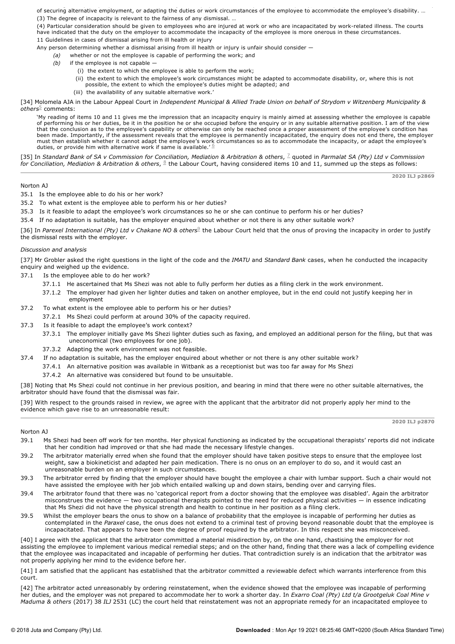of securing a temporary replacement for the ill or injured employee. In cases of permanent incapacity, the employer should ascertain the possibility of securing alternative employment, or adapting the duties or work circumstances of the employee to accommodate the employee's disability. … (3) The degree of incapacity is relevant to the fairness of any dismissal. …

(4) Particular consideration should be given to employees who are injured at work or who are incapacitated by workrelated illness. The courts have indicated that the duty on the employer to accommodate the incapacity of the employee is more onerous in these circumstances. 11 Guidelines in cases of dismissal arising from ill health or injury

Any person determining whether a dismissal arising from ill health or injury is unfair should consider -

- *(a)* whether or not the employee is capable of performing the work; and
	- *(b)* if the employee is not capable
		- (i) the extent to which the employee is able to perform the work;
		- (ii) the extent to which the employee's work circumstances might be adapted to accommodate disability, or, where this is not possible, the extent to which the employee's duties might be adapted; and
		- (iii) the availability of any suitable alternative work.'

[34] Molomela AJA in the Labour Appeal Court in *Independent Municipal & Allied Trade Union on behalf of Strydom v Witzenberg Municipality &* o*thers* $^5$  comments:

'My reading of items 10 and 11 gives me the impression that an incapacity enquiry is mainly aimed at assessing whether the employee is capable of performing his or her duties, be it in the position he or she occupied before the enquiry or in any suitable alternative position. I am of the view<br>that the conclusion as to the employee's capability or otherwise can on been made. Importantly, if the assessment reveals that the employee is permanently incapacitated, the enquiry does not end there, the employer must then establish whether it cannot adapt the employee's work circumstances so as to accommodate the incapacity, or adapt the employee's<br>duties, or provide him with alternative work if same is available.' <sup>G</sup>

[35] In *Standard Bank of SA v Commission for Conciliation, Mediation & Arbitration & others*, quoted in *Parmalat SA (Pty) Ltd v Commission* 7 for Conciliation, Mediation & Arbitration & others, §the Labour Court, having considered items 10 and 11, summed up the steps as follows:

### Norton AJ

35.1 Is the employee able to do his or her work?

- 35.2 To what extent is the employee able to perform his or her duties?
- 35.3 Is it feasible to adapt the employee's work circumstances so he or she can continue to perform his or her duties?
- 35.4 If no adaptation is suitable, has the employer enquired about whether or not there is any other suitable work?

[36] In Parexel International (Pty) Ltd v Chakane NO & others<sup>9</sup> the Labour Court held that the onus of proving the incapacity in order to justify the dismissal rests with the employer.

# *Discussion and analysis*

[37] Mr Grobler asked the right questions in the light of the code and the *IMATU* and *Standard Bank* cases, when he conducted the incapacity enquiry and weighed up the evidence.

- 37.1 Is the employee able to do her work?
	- 37.1.1 He ascertained that Ms Shezi was not able to fully perform her duties as a filing clerk in the work environment.
	- 37.1.2 The employer had given her lighter duties and taken on another employee, but in the end could not justify keeping her in employment
- 37.2 To what extent is the employee able to perform his or her duties?
	- 37.2.1 Ms Shezi could perform at around 30% of the capacity required.
- 37.3 Is it feasible to adapt the employee's work context?
	- 37.3.1 The employer initially gave Ms Shezi lighter duties such as faxing, and employed an additional person for the filing, but that was uneconomical (two employees for one job).
	- 37.3.2 Adapting the work environment was not feasible.
- 37.4 If no adaptation is suitable, has the employer enquired about whether or not there is any other suitable work?
	- 37.4.1 An alternative position was available in Witbank as a receptionist but was too far away for Ms Shezi
	- 37.4.2 An alternative was considered but found to be unsuitable.

[38] Noting that Ms Shezi could not continue in her previous position, and bearing in mind that there were no other suitable alternatives, the arbitrator should have found that the dismissal was fair.

[39] With respect to the grounds raised in review, we agree with the applicant that the arbitrator did not properly apply her mind to the evidence which gave rise to an unreasonable result:

**2020 ILJ p2869**

- Norton AJ
- 39.1 Ms Shezi had been off work for ten months. Her physical functioning as indicated by the occupational therapists' reports did not indicate that her condition had improved or that she had made the necessary lifestyle changes.
- 39.2 The arbitrator materially erred when she found that the employer should have taken positive steps to ensure that the employee lost weight, saw a biokineticist and adapted her pain medication. There is no onus on an employer to do so, and it would cast an unreasonable burden on an employer in such circumstances.
- 39.3 The arbitrator erred by finding that the employer should have bought the employee a chair with lumbar support. Such a chair would not have assisted the employee with her job which entailed walking up and down stairs, bending over and carrying files.
- 39.4 The arbitrator found that there was no 'categorical report from a doctor showing that the employee was disabled'. Again the arbitrator misconstrues the evidence — two occupational therapists pointed to the need for reduced physical activities — in essence indicating that Ms Shezi did not have the physical strength and health to continue in her position as a filing clerk.
- 39.5 Whilst the employer bears the onus to show on a balance of probability that the employee is incapable of performing her duties as contemplated in the *Paraxel* case, the onus does not extend to a criminal test of proving beyond reasonable doubt that the employee is incapacitated. That appears to have been the degree of proof required by the arbitrator. In this respect she was misconceived.

[40] I agree with the applicant that the arbitrator committed a material misdirection by, on the one hand, chastising the employer for not assisting the employee to implement various medical remedial steps; and on the other hand, finding that there was a lack of compelling evidence that the employee was incapacitated and incapable of performing her duties. That contradiction surely is an indication that the arbitrator was not properly applying her mind to the evidence before her.

[41] I am satisfied that the applicant has established that the arbitrator committed a reviewable defect which warrants interference from this court.

[42] The arbitrator acted unreasonably by ordering reinstatement, when the evidence showed that the employee was incapable of performing her duties, and the employer was not prepared to accommodate her to work a shorter day. In *Exarro Coal (Pty) Ltd t/a Grootgeluk Coal Mine v Maduma & others* (2017) 38 *ILJ* 2531 (LC) the court held that reinstatement was not an appropriate remedy for an incapacitated employee to